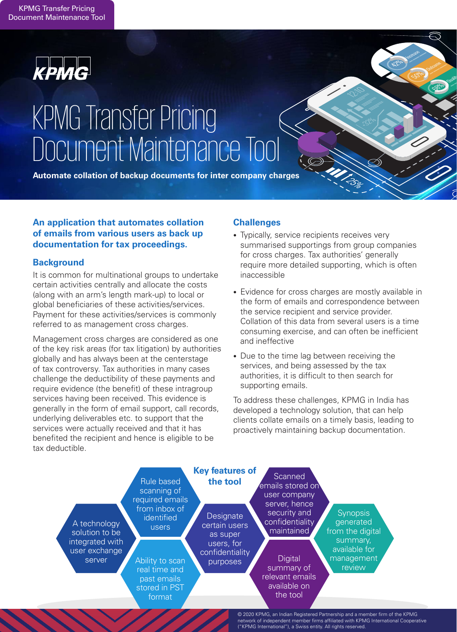

# KPMG Transfer Pricing Document Maintenance Tool

**Automate collation of backup documents for inter company charges**

# **An application that automates collation of emails from various users as back up documentation for tax proceedings.**

# **Background**

It is common for multinational groups to undertake certain activities centrally and allocate the costs (along with an arm's length mark-up) to local or global beneficiaries of these activities/services. Payment for these activities/services is commonly referred to as management cross charges.

Management cross charges are considered as one of the key risk areas (for tax litigation) by authorities globally and has always been at the centerstage of tax controversy. Tax authorities in many cases challenge the deductibility of these payments and require evidence (the benefit) of these intragroup services having been received. This evidence is generally in the form of email support, call records, underlying deliverables etc. to support that the services were actually received and that it has benefited the recipient and hence is eligible to be tax deductible.

# **Challenges**

- Typically, service recipients receives very summarised supportings from group companies for cross charges. Tax authorities' generally require more detailed supporting, which is often inaccessible
- Evidence for cross charges are mostly available in the form of emails and correspondence between the service recipient and service provider. Collation of this data from several users is a time consuming exercise, and can often be inefficient and ineffective
- Due to the time lag between receiving the services, and being assessed by the tax authorities, it is difficult to then search for supporting emails.

To address these challenges, KPMG in India has developed a technology solution, that can help clients collate emails on a timely basis, leading to proactively maintaining backup documentation.



© 2020 KPMG, an Indian Registered Partnership and a member firm of the KPMG network of independent member firms affiliated with KPMG International Cooperative ("KPMG International"), a Swiss entity. All rights reserved.